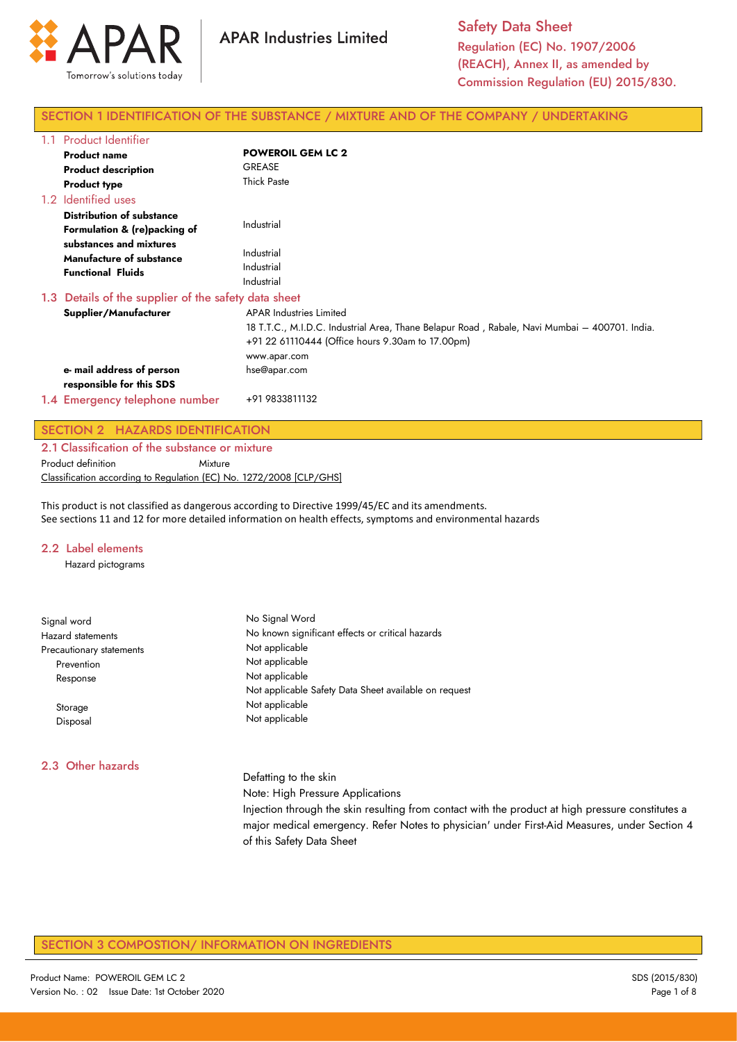

# SECTION 1 IDENTIFICATION OF THE SUBSTANCE / MIXTURE AND OF THE COMPANY / UNDERTAKING

| 1.1 | <b>Product Identifier</b>                                                       |                                                                                                                                                                                                      |
|-----|---------------------------------------------------------------------------------|------------------------------------------------------------------------------------------------------------------------------------------------------------------------------------------------------|
|     | <b>Product name</b>                                                             | <b>POWEROIL GEM LC 2</b>                                                                                                                                                                             |
|     | <b>Product description</b>                                                      | <b>GREASE</b>                                                                                                                                                                                        |
|     | <b>Product type</b>                                                             | <b>Thick Paste</b>                                                                                                                                                                                   |
|     | 1.2 Identified uses                                                             |                                                                                                                                                                                                      |
|     | <b>Distribution of substance</b><br>Formulation & (re)packing of                | Industrial                                                                                                                                                                                           |
|     | substances and mixtures<br>Manufacture of substance<br><b>Functional Fluids</b> | Industrial<br>Industrial<br>Industrial                                                                                                                                                               |
|     | 1.3 Details of the supplier of the safety data sheet                            |                                                                                                                                                                                                      |
|     | Supplier/Manufacturer                                                           | <b>APAR Industries Limited</b><br>18 T.T.C., M.I.D.C. Industrial Area, Thane Belapur Road , Rabale, Navi Mumbai – 400701. India.<br>+91 22 61110444 (Office hours 9.30am to 17.00pm)<br>www.apar.com |
|     | e- mail address of person<br>responsible for this SDS                           | hse@apar.com                                                                                                                                                                                         |
|     | 1.4 Emergency telephone number                                                  | +91 9833811132                                                                                                                                                                                       |

# SECTION 2 HAZARDS IDENTIFICATION

2.1 Classification of the substance or mixture Product definition **Mixture** Classification according to Regulation (EC) No. 1272/2008 [CLP/GHS]

This product is not classified as dangerous according to Directive 1999/45/EC and its amendments. See sections 11 and 12 for more detailed information on health effects, symptoms and environmental hazards

#### 2.2 Label elements

Hazard pictograms

| Signal word              | No Signal Word                                                                                                            |  |  |  |
|--------------------------|---------------------------------------------------------------------------------------------------------------------------|--|--|--|
| <b>Hazard statements</b> | No known significant effects or critical hazards                                                                          |  |  |  |
| Precautionary statements | Not applicable                                                                                                            |  |  |  |
| Prevention               | Not applicable                                                                                                            |  |  |  |
| Response                 | Not applicable                                                                                                            |  |  |  |
|                          | Not applicable Safety Data Sheet available on request                                                                     |  |  |  |
| Storage                  | Not applicable                                                                                                            |  |  |  |
| Disposal                 | Not applicable                                                                                                            |  |  |  |
| 2.3 Other hazards        |                                                                                                                           |  |  |  |
|                          | Defatting to the skin                                                                                                     |  |  |  |
|                          | Note: High Pressure Applications                                                                                          |  |  |  |
|                          | Injection through the skin resulting from contact with the product at high pressure constitutes a                         |  |  |  |
|                          | major medical emergency. Refer Notes to physician' under First-Aid Measures, under Section 4<br>of this Safety Data Sheet |  |  |  |

# SECTION 3 COMPOSTION/ INFORMATION ON INGREDIENTS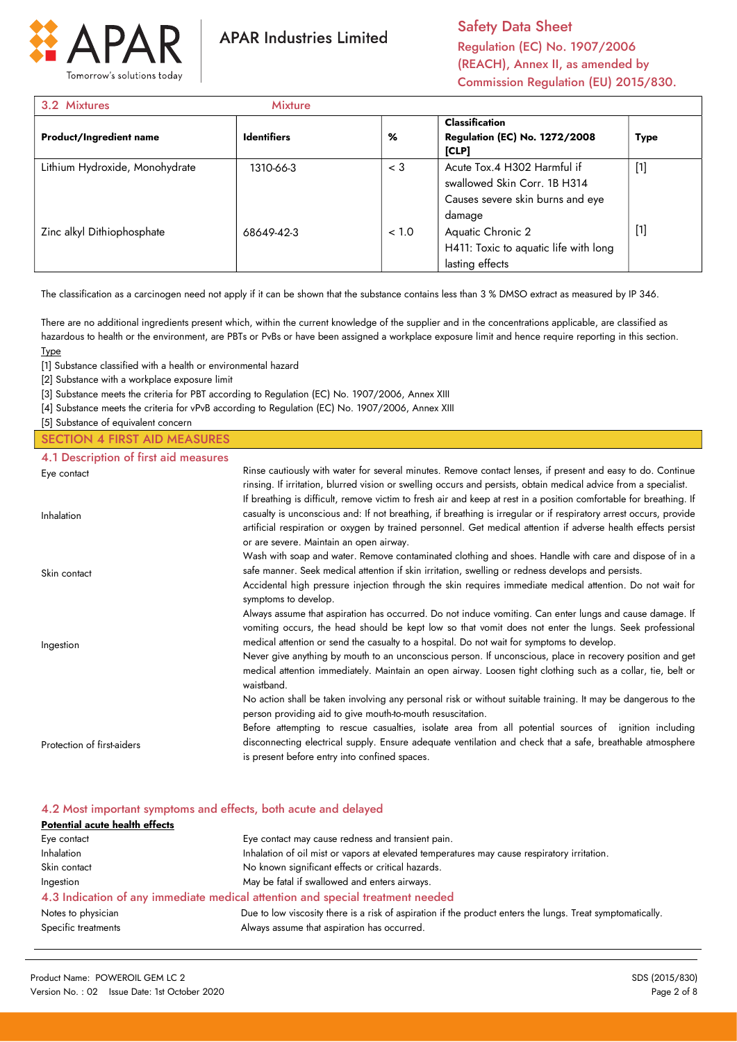

Safety Data Sheet Regulation (EC) No. 1907/2006 (REACH), Annex II, as amended by Commission Regulation (EU) 2015/830.

| 3.2 Mixtures                   | <b>Mixture</b>     |       |                                                                                                           |             |
|--------------------------------|--------------------|-------|-----------------------------------------------------------------------------------------------------------|-------------|
| <b>Product/Ingredient name</b> | <b>Identifiers</b> | %     | <b>Classification</b><br><b>Regulation (EC) No. 1272/2008</b><br>[CLP]                                    | <b>Type</b> |
| Lithium Hydroxide, Monohydrate | 1310-66-3          | $<$ 3 | Acute Tox.4 H302 Harmful if<br>swallowed Skin Corr. 1B H314<br>Causes severe skin burns and eye<br>damage | $[1]$       |
| Zinc alkyl Dithiophosphate     | 68649-42-3         | < 1.0 | Aquatic Chronic 2<br>H411: Toxic to aquatic life with long<br>lasting effects                             | $[1]$       |

The classification as a carcinogen need not apply if it can be shown that the substance contains less than 3 % DMSO extract as measured by IP 346.

There are no additional ingredients present which, within the current knowledge of the supplier and in the concentrations applicable, are classified as hazardous to health or the environment, are PBTs or PvBs or have been assigned a workplace exposure limit and hence require reporting in this section. Type

[1] Substance classified with a health or environmental hazard

[2] Substance with a workplace exposure limit

[3] Substance meets the criteria for PBT according to Regulation (EC) No. 1907/2006, Annex XIII

[4] Substance meets the criteria for vPvB according to Regulation (EC) No. 1907/2006, Annex XIII

[5] Substance of equivalent concern

#### SECTION 4 FIRST AID MEASURES

| 4.1 Description of first aid measures |                                                                                                                                                                                                                                                                                                                                                                                                                                                                                                                                                             |
|---------------------------------------|-------------------------------------------------------------------------------------------------------------------------------------------------------------------------------------------------------------------------------------------------------------------------------------------------------------------------------------------------------------------------------------------------------------------------------------------------------------------------------------------------------------------------------------------------------------|
| Eye contact                           | Rinse cautiously with water for several minutes. Remove contact lenses, if present and easy to do. Continue<br>rinsing. If irritation, blurred vision or swelling occurs and persists, obtain medical advice from a specialist.                                                                                                                                                                                                                                                                                                                             |
| Inhalation                            | If breathing is difficult, remove victim to fresh air and keep at rest in a position comfortable for breathing. If<br>casualty is unconscious and: If not breathing, if breathing is irregular or if respiratory arrest occurs, provide<br>artificial respiration or oxygen by trained personnel. Get medical attention if adverse health effects persist<br>or are severe. Maintain an open airway.                                                                                                                                                        |
| Skin contact                          | Wash with soap and water. Remove contaminated clothing and shoes. Handle with care and dispose of in a<br>safe manner. Seek medical attention if skin irritation, swelling or redness develops and persists.<br>Accidental high pressure injection through the skin requires immediate medical attention. Do not wait for<br>symptoms to develop.                                                                                                                                                                                                           |
| Ingestion                             | Always assume that aspiration has occurred. Do not induce vomiting. Can enter lungs and cause damage. If<br>vomiting occurs, the head should be kept low so that vomit does not enter the lungs. Seek professional<br>medical attention or send the casualty to a hospital. Do not wait for symptoms to develop.<br>Never give anything by mouth to an unconscious person. If unconscious, place in recovery position and get<br>medical attention immediately. Maintain an open airway. Loosen tight clothing such as a collar, tie, belt or<br>waistband. |
|                                       | No action shall be taken involving any personal risk or without suitable training. It may be dangerous to the<br>person providing aid to give mouth-to-mouth resuscitation.                                                                                                                                                                                                                                                                                                                                                                                 |
| Protection of first-aiders            | Before attempting to rescue casualties, isolate area from all potential sources of ignition including<br>disconnecting electrical supply. Ensure adequate ventilation and check that a safe, breathable atmosphere<br>is present before entry into confined spaces.                                                                                                                                                                                                                                                                                         |

#### 4.2 Most important symptoms and effects, both acute and delayed

| Potential acute health effects |                                                                                                            |  |  |  |
|--------------------------------|------------------------------------------------------------------------------------------------------------|--|--|--|
| Eye contact                    | Eye contact may cause redness and transient pain.                                                          |  |  |  |
| Inhalation                     | Inhalation of oil mist or vapors at elevated temperatures may cause respiratory irritation.                |  |  |  |
| Skin contact                   | No known significant effects or critical hazards.                                                          |  |  |  |
| Ingestion                      | May be fatal if swallowed and enters airways.                                                              |  |  |  |
|                                | 4.3 Indication of any immediate medical attention and special treatment needed                             |  |  |  |
| Notes to physician             | Due to low viscosity there is a risk of aspiration if the product enters the lungs. Treat symptomatically. |  |  |  |
| Specific treatments            | Always assume that aspiration has occurred.                                                                |  |  |  |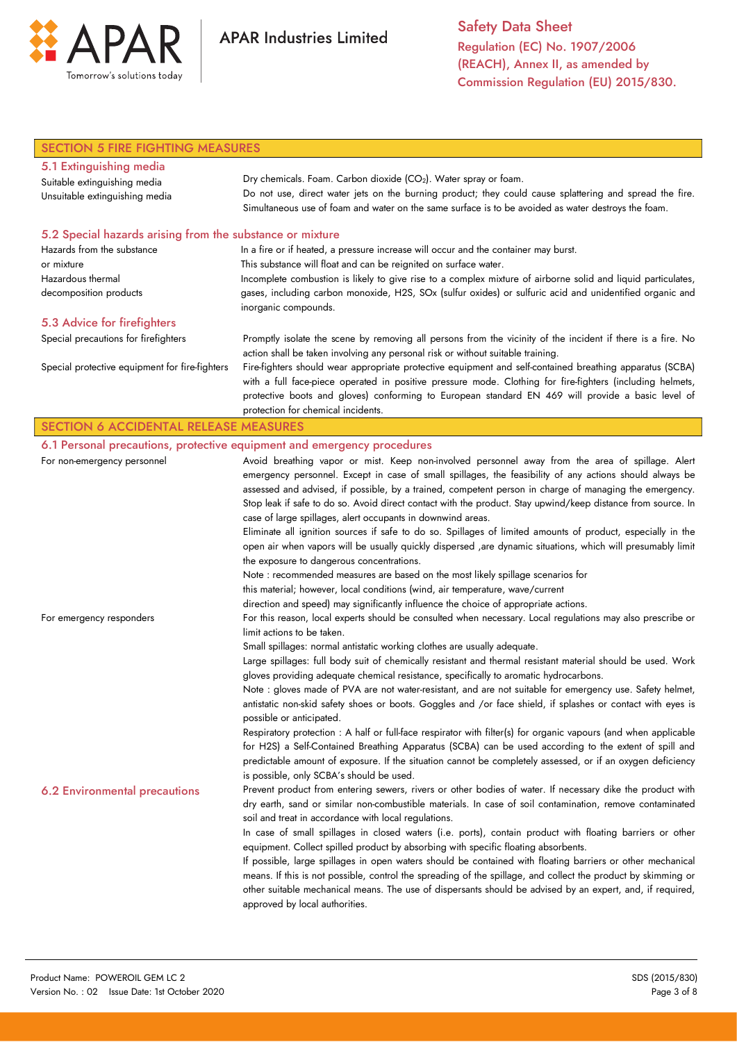

Safety Data Sheet Regulation (EC) No. 1907/2006 (REACH), Annex II, as amended by Commission Regulation (EU) 2015/830.

| <b>SECTION 5 FIRE FIGHTING MEASURES</b>                   |                                                                                                                                                                                                 |  |  |  |
|-----------------------------------------------------------|-------------------------------------------------------------------------------------------------------------------------------------------------------------------------------------------------|--|--|--|
| 5.1 Extinguishing media                                   |                                                                                                                                                                                                 |  |  |  |
| Suitable extinguishing media                              | Dry chemicals. Foam. Carbon dioxide (CO2). Water spray or foam.                                                                                                                                 |  |  |  |
| Unsuitable extinguishing media                            | Do not use, direct water jets on the burning product; they could cause splattering and spread the fire.                                                                                         |  |  |  |
|                                                           | Simultaneous use of foam and water on the same surface is to be avoided as water destroys the foam.                                                                                             |  |  |  |
| 5.2 Special hazards arising from the substance or mixture |                                                                                                                                                                                                 |  |  |  |
| Hazards from the substance                                | In a fire or if heated, a pressure increase will occur and the container may burst.                                                                                                             |  |  |  |
| or mixture                                                | This substance will float and can be reignited on surface water.                                                                                                                                |  |  |  |
| Hazardous thermal                                         | Incomplete combustion is likely to give rise to a complex mixture of airborne solid and liquid particulates,                                                                                    |  |  |  |
| decomposition products                                    | gases, including carbon monoxide, H2S, SOx (sulfur oxides) or sulfuric acid and unidentified organic and<br>inorganic compounds.                                                                |  |  |  |
| 5.3 Advice for firefighters                               |                                                                                                                                                                                                 |  |  |  |
| Special precautions for firefighters                      | Promptly isolate the scene by removing all persons from the vicinity of the incident if there is a fire. No                                                                                     |  |  |  |
|                                                           | action shall be taken involving any personal risk or without suitable training.                                                                                                                 |  |  |  |
| Special protective equipment for fire-fighters            | Fire-fighters should wear appropriate protective equipment and self-contained breathing apparatus (SCBA)                                                                                        |  |  |  |
|                                                           | with a full face-piece operated in positive pressure mode. Clothing for fire-fighters (including helmets,                                                                                       |  |  |  |
|                                                           | protective boots and gloves) conforming to European standard EN 469 will provide a basic level of                                                                                               |  |  |  |
|                                                           | protection for chemical incidents.                                                                                                                                                              |  |  |  |
| <b>SECTION 6 ACCIDENTAL RELEASE MEASURES</b>              |                                                                                                                                                                                                 |  |  |  |
|                                                           | 6.1 Personal precautions, protective equipment and emergency procedures                                                                                                                         |  |  |  |
| For non-emergency personnel                               | Avoid breathing vapor or mist. Keep non-involved personnel away from the area of spillage. Alert                                                                                                |  |  |  |
|                                                           | emergency personnel. Except in case of small spillages, the feasibility of any actions should always be                                                                                         |  |  |  |
|                                                           | assessed and advised, if possible, by a trained, competent person in charge of managing the emergency.                                                                                          |  |  |  |
|                                                           | Stop leak if safe to do so. Avoid direct contact with the product. Stay upwind/keep distance from source. In                                                                                    |  |  |  |
|                                                           | case of large spillages, alert occupants in downwind areas.                                                                                                                                     |  |  |  |
|                                                           | Eliminate all ignition sources if safe to do so. Spillages of limited amounts of product, especially in the                                                                                     |  |  |  |
|                                                           | open air when vapors will be usually quickly dispersed , are dynamic situations, which will presumably limit<br>the exposure to dangerous concentrations.                                       |  |  |  |
|                                                           | Note : recommended measures are based on the most likely spillage scenarios for                                                                                                                 |  |  |  |
|                                                           | this material; however, local conditions (wind, air temperature, wave/current                                                                                                                   |  |  |  |
|                                                           | direction and speed) may significantly influence the choice of appropriate actions.                                                                                                             |  |  |  |
| For emergency responders                                  | For this reason, local experts should be consulted when necessary. Local regulations may also prescribe or                                                                                      |  |  |  |
|                                                           | limit actions to be taken.                                                                                                                                                                      |  |  |  |
|                                                           | Small spillages: normal antistatic working clothes are usually adequate.                                                                                                                        |  |  |  |
|                                                           | Large spillages: full body suit of chemically resistant and thermal resistant material should be used. Work                                                                                     |  |  |  |
|                                                           | gloves providing adequate chemical resistance, specifically to aromatic hydrocarbons.                                                                                                           |  |  |  |
|                                                           | Note : gloves made of PVA are not water-resistant, and are not suitable for emergency use. Safety helmet,                                                                                       |  |  |  |
|                                                           | antistatic non-skid safety shoes or boots. Goggles and /or face shield, if splashes or contact with eyes is                                                                                     |  |  |  |
|                                                           | possible or anticipated.                                                                                                                                                                        |  |  |  |
|                                                           | Respiratory protection : A half or full-face respirator with filter(s) for organic vapours (and when applicable                                                                                 |  |  |  |
|                                                           | for H2S) a Self-Contained Breathing Apparatus (SCBA) can be used according to the extent of spill and                                                                                           |  |  |  |
|                                                           | predictable amount of exposure. If the situation cannot be completely assessed, or if an oxygen deficiency                                                                                      |  |  |  |
|                                                           | is possible, only SCBA's should be used.                                                                                                                                                        |  |  |  |
| <b>6.2 Environmental precautions</b>                      | Prevent product from entering sewers, rivers or other bodies of water. If necessary dike the product with                                                                                       |  |  |  |
|                                                           | dry earth, sand or similar non-combustible materials. In case of soil contamination, remove contaminated                                                                                        |  |  |  |
|                                                           | soil and treat in accordance with local regulations.                                                                                                                                            |  |  |  |
|                                                           | In case of small spillages in closed waters (i.e. ports), contain product with floating barriers or other<br>equipment. Collect spilled product by absorbing with specific floating absorbents. |  |  |  |
|                                                           | If possible, large spillages in open waters should be contained with floating barriers or other mechanical                                                                                      |  |  |  |
|                                                           | means. If this is not possible, control the spreading of the spillage, and collect the product by skimming or                                                                                   |  |  |  |
|                                                           | other suitable mechanical means. The use of dispersants should be advised by an expert, and, if required,                                                                                       |  |  |  |
|                                                           | approved by local authorities.                                                                                                                                                                  |  |  |  |
|                                                           |                                                                                                                                                                                                 |  |  |  |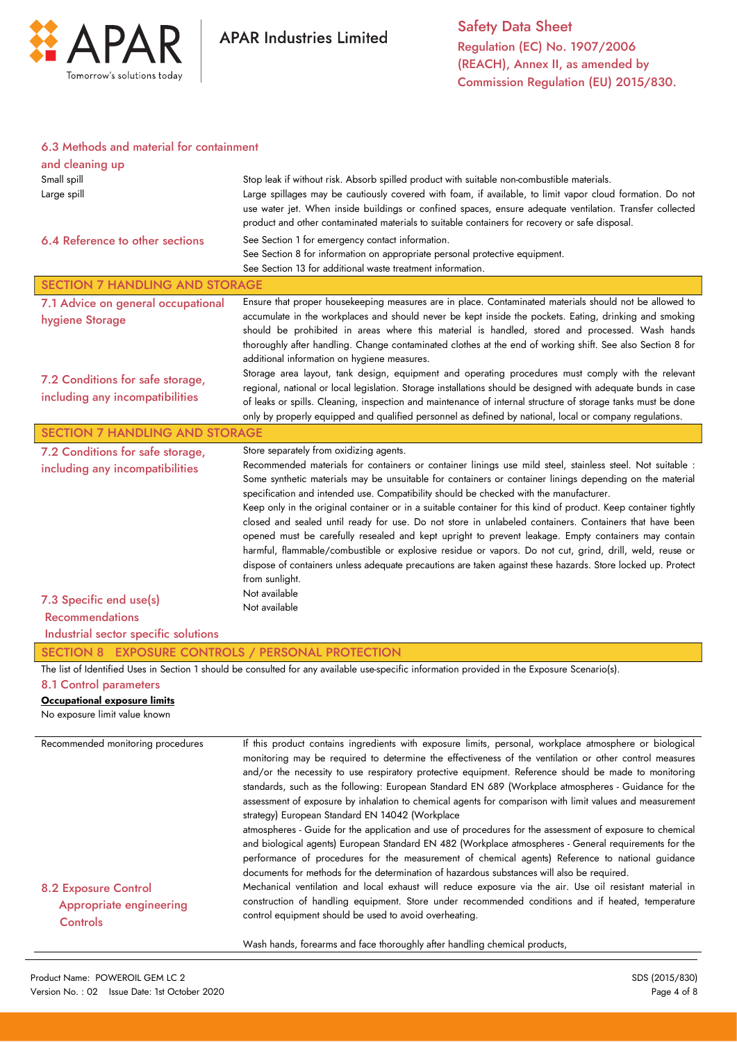

#### 6.3 Methods and material for containment

| and cleaning up                                        |                                                                                                                                                                                                                       |  |  |  |
|--------------------------------------------------------|-----------------------------------------------------------------------------------------------------------------------------------------------------------------------------------------------------------------------|--|--|--|
| Small spill                                            | Stop leak if without risk. Absorb spilled product with suitable non-combustible materials.<br>Large spillages may be cautiously covered with foam, if available, to limit vapor cloud formation. Do not               |  |  |  |
| Large spill                                            | use water jet. When inside buildings or confined spaces, ensure adequate ventilation. Transfer collected                                                                                                              |  |  |  |
|                                                        | product and other contaminated materials to suitable containers for recovery or safe disposal.                                                                                                                        |  |  |  |
| 6.4 Reference to other sections                        | See Section 1 for emergency contact information.                                                                                                                                                                      |  |  |  |
|                                                        | See Section 8 for information on appropriate personal protective equipment.                                                                                                                                           |  |  |  |
|                                                        | See Section 13 for additional waste treatment information.                                                                                                                                                            |  |  |  |
| <b>SECTION 7 HANDLING AND STORAGE</b>                  |                                                                                                                                                                                                                       |  |  |  |
| 7.1 Advice on general occupational                     | Ensure that proper housekeeping measures are in place. Contaminated materials should not be allowed to<br>accumulate in the workplaces and should never be kept inside the pockets. Eating, drinking and smoking      |  |  |  |
| hygiene Storage                                        | should be prohibited in areas where this material is handled, stored and processed. Wash hands                                                                                                                        |  |  |  |
|                                                        | thoroughly after handling. Change contaminated clothes at the end of working shift. See also Section 8 for                                                                                                            |  |  |  |
|                                                        | additional information on hygiene measures.                                                                                                                                                                           |  |  |  |
| 7.2 Conditions for safe storage,                       | Storage area layout, tank design, equipment and operating procedures must comply with the relevant<br>regional, national or local legislation. Storage installations should be designed with adequate bunds in case   |  |  |  |
| including any incompatibilities                        | of leaks or spills. Cleaning, inspection and maintenance of internal structure of storage tanks must be done                                                                                                          |  |  |  |
|                                                        | only by properly equipped and qualified personnel as defined by national, local or company regulations.                                                                                                               |  |  |  |
| <b>SECTION 7 HANDLING AND STORAGE</b>                  |                                                                                                                                                                                                                       |  |  |  |
| 7.2 Conditions for safe storage,                       | Store separately from oxidizing agents.                                                                                                                                                                               |  |  |  |
| including any incompatibilities                        | Recommended materials for containers or container linings use mild steel, stainless steel. Not suitable :<br>Some synthetic materials may be unsuitable for containers or container linings depending on the material |  |  |  |
|                                                        | specification and intended use. Compatibility should be checked with the manufacturer.                                                                                                                                |  |  |  |
|                                                        | Keep only in the original container or in a suitable container for this kind of product. Keep container tightly                                                                                                       |  |  |  |
|                                                        | closed and sealed until ready for use. Do not store in unlabeled containers. Containers that have been                                                                                                                |  |  |  |
|                                                        | opened must be carefully resealed and kept upright to prevent leakage. Empty containers may contain                                                                                                                   |  |  |  |
|                                                        | harmful, flammable/combustible or explosive residue or vapors. Do not cut, grind, drill, weld, reuse or                                                                                                               |  |  |  |
|                                                        |                                                                                                                                                                                                                       |  |  |  |
|                                                        | dispose of containers unless adequate precautions are taken against these hazards. Store locked up. Protect                                                                                                           |  |  |  |
|                                                        | from sunlight.<br>Not available                                                                                                                                                                                       |  |  |  |
| 7.3 Specific end use(s)                                | Not available                                                                                                                                                                                                         |  |  |  |
| <b>Recommendations</b>                                 |                                                                                                                                                                                                                       |  |  |  |
| Industrial sector specific solutions                   |                                                                                                                                                                                                                       |  |  |  |
| SECTION 8 EXPOSURE CONTROLS / PERSONAL PROTECTION      |                                                                                                                                                                                                                       |  |  |  |
|                                                        | The list of Identified Uses in Section 1 should be consulted for any available use-specific information provided in the Exposure Scenario(s).                                                                         |  |  |  |
| 8.1 Control parameters<br>Occupational exposure limits |                                                                                                                                                                                                                       |  |  |  |
| No exposure limit value known                          |                                                                                                                                                                                                                       |  |  |  |
|                                                        |                                                                                                                                                                                                                       |  |  |  |
| Recommended monitoring procedures                      | If this product contains ingredients with exposure limits, personal, workplace atmosphere or biological                                                                                                               |  |  |  |
|                                                        | monitoring may be required to determine the effectiveness of the ventilation or other control measures<br>and/or the necessity to use respiratory protective equipment. Reference should be made to monitoring        |  |  |  |
|                                                        | standards, such as the following: European Standard EN 689 (Workplace atmospheres - Guidance for the                                                                                                                  |  |  |  |
|                                                        | assessment of exposure by inhalation to chemical agents for comparison with limit values and measurement                                                                                                              |  |  |  |
|                                                        | strategy) European Standard EN 14042 (Workplace                                                                                                                                                                       |  |  |  |
|                                                        | atmospheres - Guide for the application and use of procedures for the assessment of exposure to chemical                                                                                                              |  |  |  |
|                                                        | and biological agents) European Standard EN 482 (Workplace atmospheres - General requirements for the<br>performance of procedures for the measurement of chemical agents) Reference to national guidance             |  |  |  |
|                                                        | documents for methods for the determination of hazardous substances will also be required.                                                                                                                            |  |  |  |
| <b>8.2 Exposure Control</b>                            | Mechanical ventilation and local exhaust will reduce exposure via the air. Use oil resistant material in                                                                                                              |  |  |  |
| <b>Appropriate engineering</b>                         | construction of handling equipment. Store under recommended conditions and if heated, temperature                                                                                                                     |  |  |  |
| Controls                                               | control equipment should be used to avoid overheating.                                                                                                                                                                |  |  |  |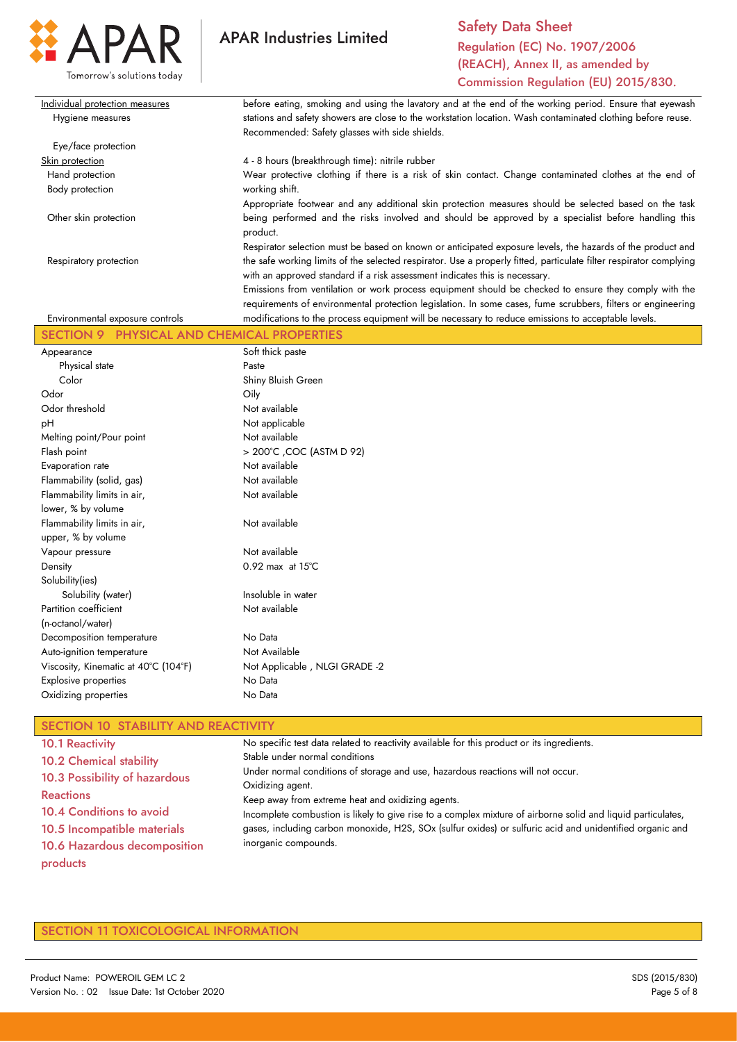

Safety Data Sheet Regulation (EC) No. 1907/2006 (REACH), Annex II, as amended by Commission Regulation (EU) 2015/830.

| Individual protection measures  | before eating, smoking and using the lavatory and at the end of the working period. Ensure that eyewash                                                                                           |
|---------------------------------|---------------------------------------------------------------------------------------------------------------------------------------------------------------------------------------------------|
| Hygiene measures                | stations and safety showers are close to the workstation location. Wash contaminated clothing before reuse.                                                                                       |
|                                 | Recommended: Safety glasses with side shields.                                                                                                                                                    |
| Eye/face protection             |                                                                                                                                                                                                   |
| Skin protection                 | 4 - 8 hours (breakthrough time): nitrile rubber                                                                                                                                                   |
| Hand protection                 | Wear protective clothing if there is a risk of skin contact. Change contaminated clothes at the end of                                                                                            |
| Body protection                 | working shift.                                                                                                                                                                                    |
|                                 | Appropriate footwear and any additional skin protection measures should be selected based on the task                                                                                             |
| Other skin protection           | being performed and the risks involved and should be approved by a specialist before handling this<br>product.                                                                                    |
|                                 | Respirator selection must be based on known or anticipated exposure levels, the hazards of the product and                                                                                        |
| Respiratory protection          | the safe working limits of the selected respirator. Use a properly fitted, particulate filter respirator complying<br>with an approved standard if a risk assessment indicates this is necessary. |
|                                 | Emissions from ventilation or work process equipment should be checked to ensure they comply with the                                                                                             |
| Environmental exposure controls | requirements of environmental protection legislation. In some cases, fume scrubbers, filters or engineering                                                                                       |
|                                 | modifications to the process equipment will be necessary to reduce emissions to acceptable levels.                                                                                                |

| Appearance                           | Soft thick paste              |  |  |
|--------------------------------------|-------------------------------|--|--|
| Physical state                       | Paste                         |  |  |
| Color                                | Shiny Bluish Green            |  |  |
| Odor                                 | Oily                          |  |  |
| Odor threshold                       | Not available                 |  |  |
| рH                                   | Not applicable                |  |  |
| Melting point/Pour point             | Not available                 |  |  |
| Flash point                          | > 200°C , COC (ASTM D 92)     |  |  |
| Evaporation rate                     | Not available                 |  |  |
| Flammability (solid, gas)            | Not available                 |  |  |
| Flammability limits in air,          | Not available                 |  |  |
| lower, % by volume                   |                               |  |  |
| Flammability limits in air,          | Not available                 |  |  |
| upper, % by volume                   |                               |  |  |
| Vapour pressure                      | Not available                 |  |  |
| Density                              | $0.92$ max at $15^{\circ}$ C  |  |  |
| Solubility(ies)                      |                               |  |  |
| Solubility (water)                   | Insoluble in water            |  |  |
| Partition coefficient                | Not available                 |  |  |
| (n-octanol/water)                    |                               |  |  |
| Decomposition temperature            | No Data                       |  |  |
| Auto-ignition temperature            | Not Available                 |  |  |
| Viscosity, Kinematic at 40°C (104°F) | Not Applicable, NLGI GRADE -2 |  |  |
| Explosive properties                 | No Data                       |  |  |
| Oxidizing properties                 | No Data                       |  |  |
|                                      |                               |  |  |

# SECTION 10 STABILITY AND REACTIVITY

| <b>10.1 Reactivity</b>         | No specific test data related to reactivity available for this product or its ingredients.                   |
|--------------------------------|--------------------------------------------------------------------------------------------------------------|
| <b>10.2 Chemical stability</b> | Stable under normal conditions                                                                               |
| 10.3 Possibility of hazardous  | Under normal conditions of storage and use, hazardous reactions will not occur.                              |
|                                | Oxidizing agent.                                                                                             |
| <b>Reactions</b>               | Keep away from extreme heat and oxidizing agents.                                                            |
| 10.4 Conditions to avoid       | Incomplete combustion is likely to give rise to a complex mixture of airborne solid and liquid particulates, |
| 10.5 Incompatible materials    | gases, including carbon monoxide, H2S, SOx (sulfur oxides) or sulfuric acid and unidentified organic and     |
| 10.6 Hazardous decomposition   | inorganic compounds.                                                                                         |
| products                       |                                                                                                              |

### SECTION 11 TOXICOLOGICAL INFORMATION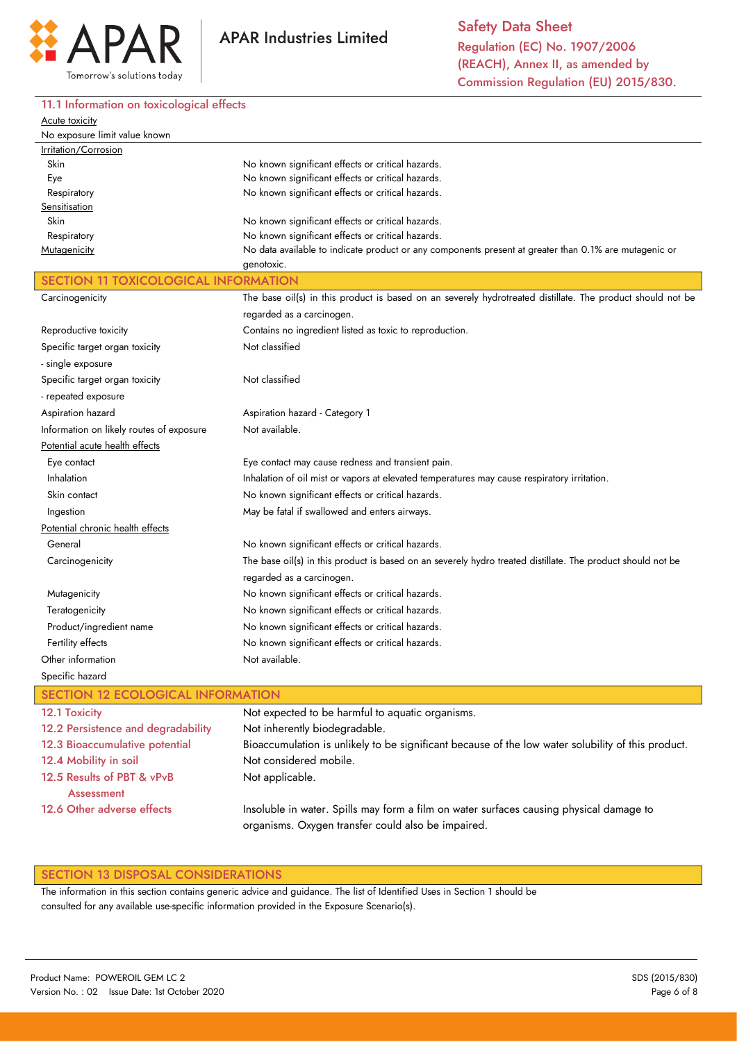

## 11.1 Information on toxicological effects

| Acute toxicity                              |                                                                                                                     |  |  |  |  |
|---------------------------------------------|---------------------------------------------------------------------------------------------------------------------|--|--|--|--|
| No exposure limit value known               |                                                                                                                     |  |  |  |  |
| Irritation/Corrosion                        |                                                                                                                     |  |  |  |  |
| Skin                                        | No known significant effects or critical hazards.                                                                   |  |  |  |  |
| Eye                                         | No known significant effects or critical hazards.                                                                   |  |  |  |  |
| Respiratory                                 | No known significant effects or critical hazards.                                                                   |  |  |  |  |
| Sensitisation                               |                                                                                                                     |  |  |  |  |
| Skin                                        | No known significant effects or critical hazards.                                                                   |  |  |  |  |
| Respiratory                                 | No known significant effects or critical hazards.                                                                   |  |  |  |  |
| Mutagenicity                                | No data available to indicate product or any components present at greater than 0.1% are mutagenic or<br>genotoxic. |  |  |  |  |
| <b>SECTION 11 TOXICOLOGICAL INFORMATION</b> |                                                                                                                     |  |  |  |  |
| Carcinogenicity                             | The base oil(s) in this product is based on an severely hydrotreated distillate. The product should not be          |  |  |  |  |
|                                             | regarded as a carcinogen.                                                                                           |  |  |  |  |
| Reproductive toxicity                       | Contains no ingredient listed as toxic to reproduction.                                                             |  |  |  |  |
| Specific target organ toxicity              | Not classified                                                                                                      |  |  |  |  |
| - single exposure                           |                                                                                                                     |  |  |  |  |
| Specific target organ toxicity              | Not classified                                                                                                      |  |  |  |  |
| - repeated exposure                         |                                                                                                                     |  |  |  |  |
| Aspiration hazard                           | Aspiration hazard - Category 1                                                                                      |  |  |  |  |
| Information on likely routes of exposure    | Not available.                                                                                                      |  |  |  |  |
| Potential acute health effects              |                                                                                                                     |  |  |  |  |
| Eye contact                                 | Eye contact may cause redness and transient pain.                                                                   |  |  |  |  |
| Inhalation                                  | Inhalation of oil mist or vapors at elevated temperatures may cause respiratory irritation.                         |  |  |  |  |
| Skin contact                                | No known significant effects or critical hazards.                                                                   |  |  |  |  |
| Ingestion                                   | May be fatal if swallowed and enters airways.                                                                       |  |  |  |  |
| Potential chronic health effects            |                                                                                                                     |  |  |  |  |
| General                                     | No known significant effects or critical hazards.                                                                   |  |  |  |  |
| Carcinogenicity                             | The base oil(s) in this product is based on an severely hydro treated distillate. The product should not be         |  |  |  |  |
|                                             | regarded as a carcinogen.                                                                                           |  |  |  |  |
| Mutagenicity                                | No known significant effects or critical hazards.                                                                   |  |  |  |  |
| Teratogenicity                              | No known significant effects or critical hazards.                                                                   |  |  |  |  |
| Product/ingredient name                     | No known significant effects or critical hazards.                                                                   |  |  |  |  |
| Fertility effects                           | No known significant effects or critical hazards.                                                                   |  |  |  |  |
| Other information                           | Not available.                                                                                                      |  |  |  |  |
| Specific hazard                             |                                                                                                                     |  |  |  |  |
| <b>SECTION 12 ECOLOGICAL INFORMATION</b>    |                                                                                                                     |  |  |  |  |
| 12.1 Toxicity                               | Not expected to be harmful to aquatic organisms.                                                                    |  |  |  |  |
| 12.2 Persistence and degradability          | Not inherently biodegradable.                                                                                       |  |  |  |  |
| 12.3 Bioaccumulative potential              | Bioaccumulation is unlikely to be significant because of the low water solubility of this product.                  |  |  |  |  |
|                                             | Not considered mobile.                                                                                              |  |  |  |  |
| 12.4 Mobility in soil                       |                                                                                                                     |  |  |  |  |
| 12.5 Results of PBT & vPvB                  | Not applicable.                                                                                                     |  |  |  |  |
| <b>Assessment</b>                           |                                                                                                                     |  |  |  |  |
| 12.6 Other adverse effects                  | Insoluble in water. Spills may form a film on water surfaces causing physical damage to                             |  |  |  |  |

Insoluble in water. Spills may form a film on water surfaces causing physical damage to organisms. Oxygen transfer could also be impaired.

#### SECTION 13 DISPOSAL CONSIDERATIONS

The information in this section contains generic advice and guidance. The list of Identified Uses in Section 1 should be consulted for any available use-specific information provided in the Exposure Scenario(s).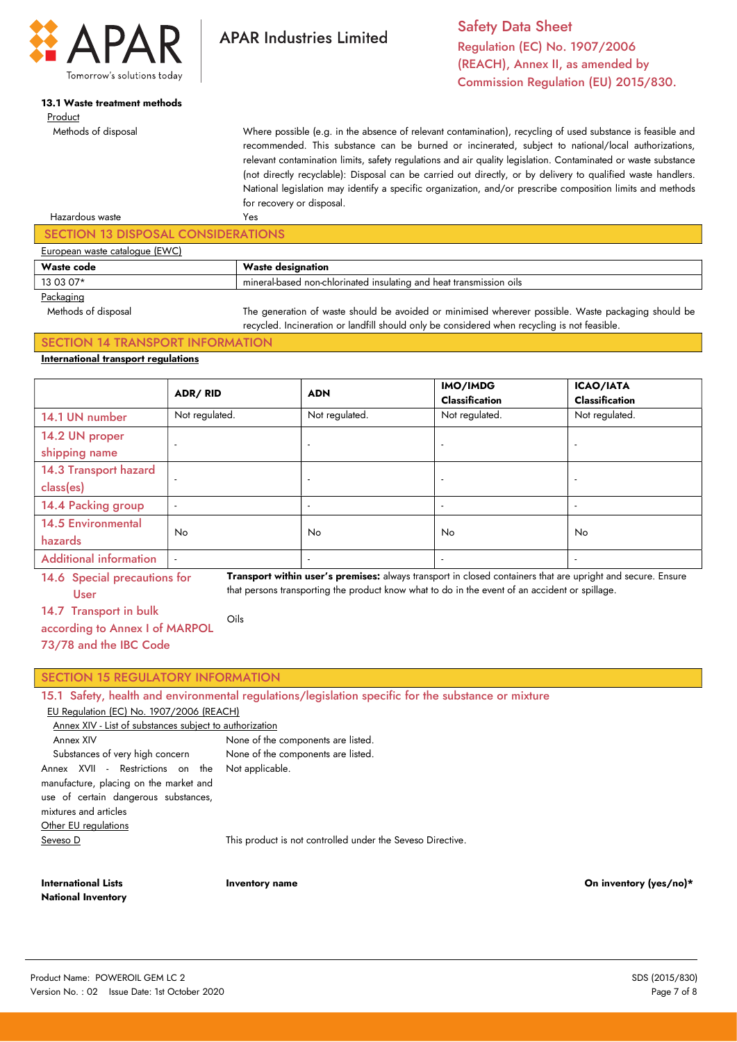

# 13.1 Waste treatment methods

Product

Methods of disposal

Safety Data Sheet Regulation (EC) No. 1907/2006 (REACH), Annex II, as amended by Commission Regulation (EU) 2015/830.

Where possible (e.g. in the absence of relevant contamination), recycling of used substance is feasible and recommended. This substance can be burned or incinerated, subject to national/local authorizations, relevant contamination limits, safety regulations and air quality legislation. Contaminated or waste substance (not directly recyclable): Disposal can be carried out directly, or by delivery to qualified waste handlers. National legislation may identify a specific organization, and/or prescribe composition limits and methods for recovery or disposal.

#### Hazardous waste Yes SECTION 13 DISPOSAL CONSIDERATIONS European waste catalogue (EWC) Waste code Waste designation 13 03 07\* **mineral-based non-chlorinated insulating and heat transmission oils Packaging**

**APAR Industries Limited** 

 Methods of disposal The generation of waste should be avoided or minimised wherever possible. Waste packaging should be recycled. Incineration or landfill should only be considered when recycling is not feasible.

#### SECTION 14 TRANSPORT INFORMATION International transport regulations

|                                      | ADR/RID                  | <b>ADN</b>               | IMO/IMDG<br><b>Classification</b> | <b>ICAO/IATA</b><br><b>Classification</b> |
|--------------------------------------|--------------------------|--------------------------|-----------------------------------|-------------------------------------------|
| 14.1 UN number                       | Not regulated.           | Not regulated.           | Not regulated.                    | Not regulated.                            |
| 14.2 UN proper<br>shipping name      |                          | $\overline{a}$           | $\overline{a}$                    | $\overline{a}$                            |
| 14.3 Transport hazard<br>class(es)   |                          | $\overline{\phantom{a}}$ | $\overline{\phantom{a}}$          |                                           |
| 14.4 Packing group                   | $\overline{\phantom{a}}$ |                          | $\overline{\phantom{a}}$          | $\overline{a}$                            |
| <b>14.5 Environmental</b><br>hazards | <b>No</b>                | <b>No</b>                | No                                | No                                        |
| <b>Additional information</b>        | $\overline{\phantom{a}}$ | $\overline{\phantom{a}}$ | $\overline{a}$                    | $\overline{a}$                            |

14.6 Special precautions for User

Transport within user's premises: always transport in closed containers that are upright and secure. Ensure that persons transporting the product know what to do in the event of an accident or spillage.

14.7 Transport in bulk

according to Annex I of MARPOL

73/78 and the IBC Code

## SECTION 15 REGULATORY INFORMATION

15.1 Safety, health and environmental regulations/legislation specific for the substance or mixture

#### EU Regulation (EC) No. 1907/2006 (REACH)

| Annex XIV - List of substances subject to authorization                                                                                                                             |                                                            |  |  |  |
|-------------------------------------------------------------------------------------------------------------------------------------------------------------------------------------|------------------------------------------------------------|--|--|--|
| Annex XIV                                                                                                                                                                           | None of the components are listed.                         |  |  |  |
| Substances of very high concern                                                                                                                                                     | None of the components are listed.                         |  |  |  |
| Annex XVII - Restrictions on the Not-applicable.<br>manufacture, placing on the market and<br>use of certain dangerous substances,<br>mixtures and articles<br>Other EU regulations |                                                            |  |  |  |
| Seveso D                                                                                                                                                                            | This product is not controlled under the Seveso Directive. |  |  |  |
|                                                                                                                                                                                     |                                                            |  |  |  |

Oils

International Lists National Inventory

Inventory name On inventory (yes/no)\*